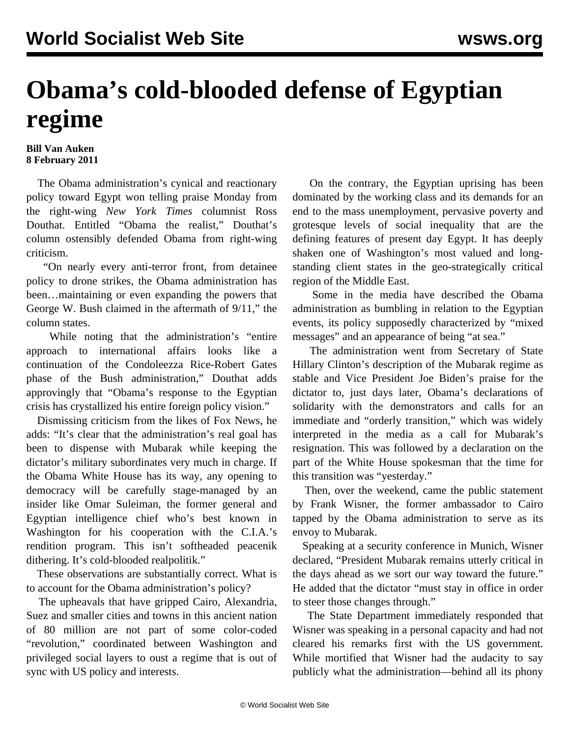## **Obama's cold-blooded defense of Egyptian regime**

## **Bill Van Auken 8 February 2011**

 The Obama administration's cynical and reactionary policy toward Egypt won telling praise Monday from the right-wing *New York Times* columnist Ross Douthat. Entitled "Obama the realist," Douthat's column ostensibly defended Obama from right-wing criticism.

 "On nearly every anti-terror front, from detainee policy to drone strikes, the Obama administration has been…maintaining or even expanding the powers that George W. Bush claimed in the aftermath of 9/11," the column states.

 While noting that the administration's "entire approach to international affairs looks like a continuation of the Condoleezza Rice-Robert Gates phase of the Bush administration," Douthat adds approvingly that "Obama's response to the Egyptian crisis has crystallized his entire foreign policy vision."

 Dismissing criticism from the likes of Fox News, he adds: "It's clear that the administration's real goal has been to dispense with Mubarak while keeping the dictator's military subordinates very much in charge. If the Obama White House has its way, any opening to democracy will be carefully stage-managed by an insider like Omar Suleiman, the former general and Egyptian intelligence chief who's best known in Washington for his cooperation with the C.I.A.'s rendition program. This isn't softheaded peacenik dithering. It's cold-blooded realpolitik."

 These observations are substantially correct. What is to account for the Obama administration's policy?

 The upheavals that have gripped Cairo, Alexandria, Suez and smaller cities and towns in this ancient nation of 80 million are not part of some color-coded "revolution," coordinated between Washington and privileged social layers to oust a regime that is out of sync with US policy and interests.

 On the contrary, the Egyptian uprising has been dominated by the working class and its demands for an end to the mass unemployment, pervasive poverty and grotesque levels of social inequality that are the defining features of present day Egypt. It has deeply shaken one of Washington's most valued and longstanding client states in the geo-strategically critical region of the Middle East.

 Some in the media have described the Obama administration as bumbling in relation to the Egyptian events, its policy supposedly characterized by "mixed messages" and an appearance of being "at sea."

 The administration went from Secretary of State Hillary Clinton's description of the Mubarak regime as stable and Vice President Joe Biden's praise for the dictator to, just days later, Obama's declarations of solidarity with the demonstrators and calls for an immediate and "orderly transition," which was widely interpreted in the media as a call for Mubarak's resignation. This was followed by a declaration on the part of the White House spokesman that the time for this transition was "yesterday."

 Then, over the weekend, came the public statement by Frank Wisner, the former ambassador to Cairo tapped by the Obama administration to serve as its envoy to Mubarak.

 Speaking at a security conference in Munich, Wisner declared, "President Mubarak remains utterly critical in the days ahead as we sort our way toward the future." He added that the dictator "must stay in office in order to steer those changes through."

 The State Department immediately responded that Wisner was speaking in a personal capacity and had not cleared his remarks first with the US government. While mortified that Wisner had the audacity to say publicly what the administration—behind all its phony